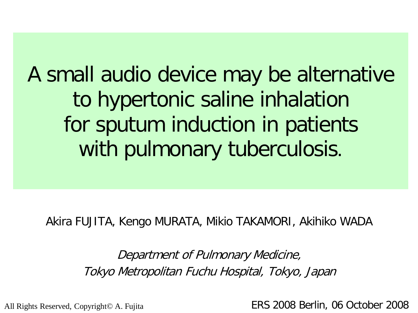A small audio device may be alternative to hypertonic saline inhalation for sputum induction in patients with pulmonary tuberculosis.

Akira FUJITA, Kengo MURATA, Mikio TAKAMORI, Akihiko WADA

Department of Pulmonary Medicine, Tokyo Metropolitan Fuchu Hospital, Tokyo, Japan

All Rights Reserved, Copyright© A. Fujita **ERS 2008 Berlin, 06 October 2008**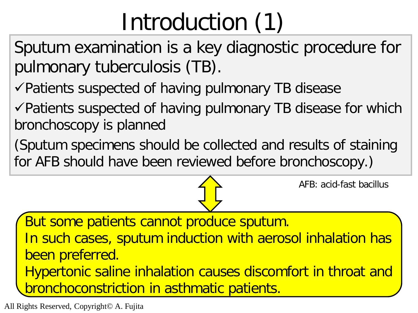## Introduction (1)

Sputum examination is a key diagnostic procedure for pulmonary tuberculosis (TB).

 $\sqrt{}$ Patients suspected of having pulmonary TB disease

 $\checkmark$  Patients suspected of having pulmonary TB disease for which bronchoscopy is planned

(Sputum specimens should be collected and results of staining for AFB should have been reviewed before bronchoscopy.)

AFB: acid-fast bacillus

But some patients cannot produce sputum. In such cases, sputum induction with aerosol inhalation has been preferred. Hypertonic saline inhalation causes discomfort in throat and bronchoconstriction in asthmatic patients.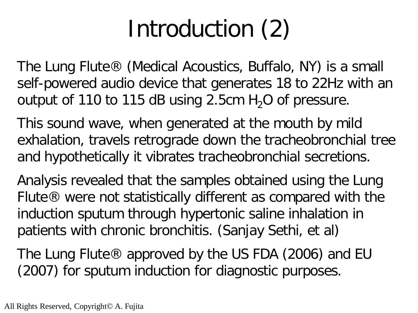# Introduction (2)

The Lung Flute® (Medical Acoustics, Buffalo, NY) is a small self-powered audio device that generates 18 to 22Hz with an output of 110 to 115 dB using 2.5cm  $H_2O$  of pressure.

This sound wave, when generated at the mouth by mild exhalation, travels retrograde down the tracheobronchial tree and hypothetically it vibrates tracheobronchial secretions.

Analysis revealed that the samples obtained using the Lung Flute® were not statistically different as compared with the induction sputum through hypertonic saline inhalation in patients with chronic bronchitis. (Sanjay Sethi, et al)

The Lung Flute® approved by the US FDA (2006) and EU (2007) for sputum induction for diagnostic purposes.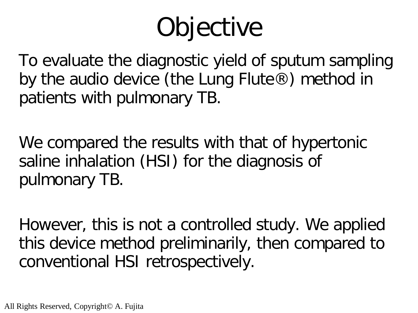# **Objective**

To evaluate the diagnostic yield of sputum sampling by the audio device (the Lung Flute®) method in patients with pulmonary TB.

We compared the results with that of hypertonic saline inhalation (HSI) for the diagnosis of pulmonary TB.

However, this is not a controlled study. We applied this device method preliminarily, then compared to conventional HSI retrospectively.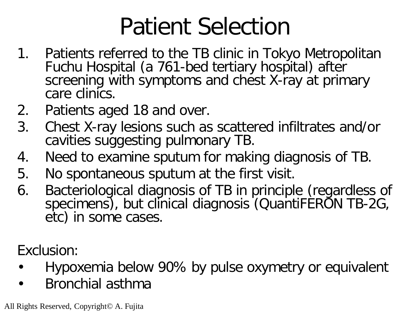## Patient Selection

- 1. Patients referred to the TB clinic in Tokyo Metropolitan Fuchu Hospital (a 761-bed tertiary hospital) after screening with symptoms and chest X-ray at primary care clinics.
- 2. Patients aged 18 and over.
- 3. Chest X-ray lesions such as scattered infiltrates and/or cavities suggesting pulmonary TB.
- 4. Need to examine sputum for making diagnosis of TB.
- 5. No spontaneous sputum at the first visit.
- 6. Bacteriological diagnosis of TB in principle (regardless of specimens), but clinical diagnosis (QuantiFERON TB-2G, etc) in some cases.

Exclusion:

- Hypoxemia below 90% by pulse oxymetry or equivalent
- Bronchial asthma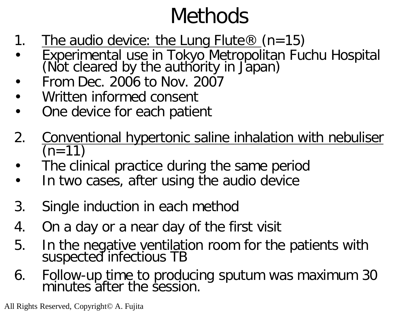### Methods

- 1. The audio device: the Lung Flute  $\mathcal{R}$  (n=15)
- Experimental use in Tokyo Metropolitan Fuchu Hospital (Not cleared by the authority in Japan)
- From Dec. 2006 to Nov. 2007
- Written informed consent
- One device for each patient
- 2. Conventional hypertonic saline inhalation with nebuliser  $(n=11)$
- The clinical practice during the same period
- In two cases, after using the audio device
- 3. Single induction in each method
- 4. On a day or a near day of the first visit
- 5. In the negative ventilation room for the patients with suspected infectious TB
- 6. Follow-up time to producing sputum was maximum 30 minutes after the session.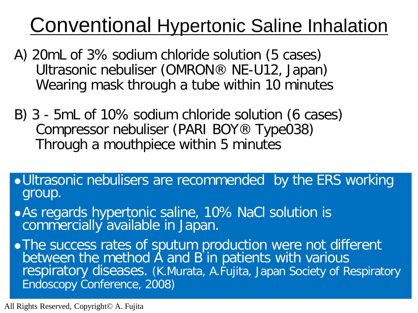### Conventional Hypertonic Saline Inhalation

- A) 20mL of 3% sodium chloride solution (5 cases) Ultrasonic nebuliser (OMRON® NE-U12, Japan) Wearing mask through a tube within 10 minutes
- B) 3 5mL of 10% sodium chloride solution (6 cases) Compressor nebuliser (PARI BOY® Type038) Through a mouthpiece within 5 minutes
- Ultrasonic nebulisers are recommended by the ERS working group.
- As regards hypertonic saline, 10% NaCl solution is commercially available in Japan.

. The success rates of sputum production were not different between the method A and B in patients with various respiratory diseases. (K.Murata, A.Fujita, Japan Society of Respiratory Endoscopy Conference, 2008)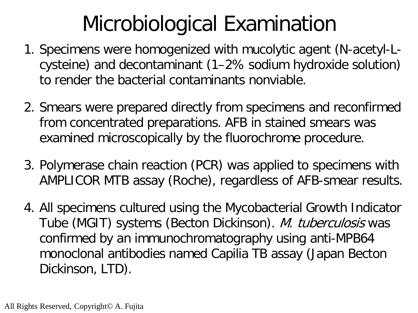### Microbiological Examination

- 1. Specimens were homogenized with mucolytic agent (N-acetyl-Lcysteine) and decontaminant (1–2% sodium hydroxide solution) to render the bacterial contaminants nonviable.
- 2. Smears were prepared directly from specimens and reconfirmed from concentrated preparations. AFB in stained smears was examined microscopically by the fluorochrome procedure.
- 3. Polymerase chain reaction (PCR) was applied to specimens with AMPLICOR MTB assay (Roche), regardless of AFB-smear results.
- 4. All specimens cultured using the Mycobacterial Growth Indicator Tube (MGIT) systems (Becton Dickinson). M. tuberculosis was confirmed by an immunochromatography using anti-MPB64 monoclonal antibodies named Capilia TB assay (Japan Becton Dickinson, LTD).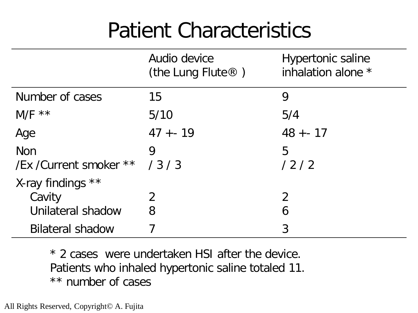### Patient Characteristics

|                               | Audio device<br>(the Lung Flute $\circledR$ ) | <b>Hypertonic saline</b><br>inhalation alone * |
|-------------------------------|-----------------------------------------------|------------------------------------------------|
| Number of cases               | 15                                            | 9                                              |
| $M/F$ **                      | 5/10                                          | 5/4                                            |
| Age                           | $47 + - 19$                                   | $48 + - 17$                                    |
| <b>Non</b>                    | 9                                             | 5                                              |
| /Ex / Current smoker ** / 3/3 |                                               | 12/2                                           |
| X-ray findings **             |                                               |                                                |
| Cavity                        | 2                                             | $\overline{2}$                                 |
| Unilateral shadow             | 8                                             | 6                                              |
| <b>Bilateral shadow</b>       |                                               | 3                                              |

\* 2 cases were undertaken HSI after the device. Patients who inhaled hypertonic saline totaled 11. \*\* number of cases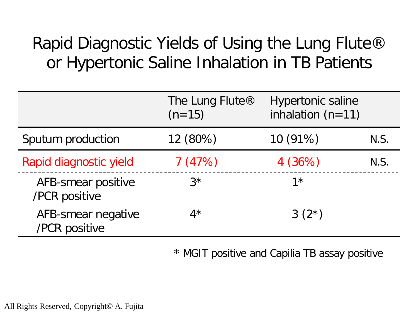#### Rapid Diagnostic Yields of Using the Lung Flute® or Hypertonic Saline Inhalation in TB Patients

|                                     | The Lung Flute <sup>®</sup><br>$(n=15)$ | <b>Hypertonic saline</b><br>inhalation $(n=11)$ |      |
|-------------------------------------|-----------------------------------------|-------------------------------------------------|------|
| Sputum production                   | 12 (80%)                                | 10(91%)                                         | N.S. |
| Rapid diagnostic yield              | 7(47%)                                  | 4(36%)                                          | N.S. |
| AFB-smear positive<br>/PCR positive | $3^{\star}$                             | $1*$                                            |      |
| AFB-smear negative<br>/PCR positive | $4^{\star}$                             | $3(2^{*})$                                      |      |

\* MGIT positive and Capilia TB assay positive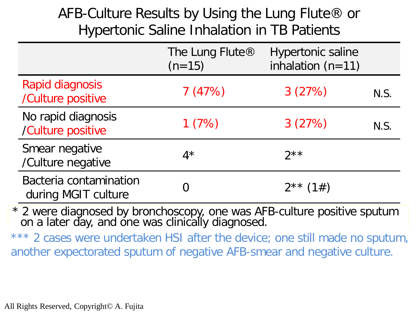#### AFB-Culture Results by Using the Lung Flute® or Hypertonic Saline Inhalation in TB Patients

|                                               | The Lung Flute®<br>$(n=15)$ | <b>Hypertonic saline</b><br>inhalation $(n=11)$ |      |
|-----------------------------------------------|-----------------------------|-------------------------------------------------|------|
| Rapid diagnosis<br>/Culture positive          | 7(47%)                      | 3(27%)                                          | N.S. |
| No rapid diagnosis<br>/Culture positive       | 1(7%)                       | 3(27%)                                          | N.S. |
| Smear negative<br>/Culture negative           | $4^{\star}$                 | $2***$                                          |      |
| Bacteria contamination<br>during MGIT culture |                             | $2^{**}$ (1#)                                   |      |

\* 2 were diagnosed by bronchoscopy, one was AFB-culture positive sputum on a later day, and one was clinically diagnosed.

another expectorated sputum of negative AFB-smear and negative culture. oner expecterated sputum or hoganic rimb smear and hoganic santare. \*\*\* 2 cases were undertaken HSI after the device; one still made no sputum, another expectorated sputum of negative AFB-smear and negative culture.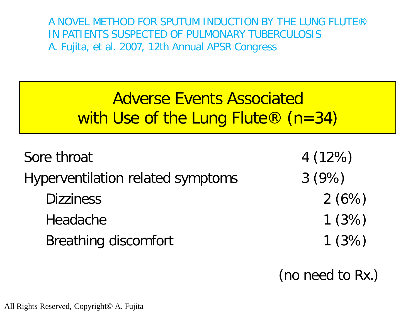A NOVEL METHOD FOR SPUTUM INDUCTION BY THE LUNG FLUTE® IN PATIENTS SUSPECTED OF PULMONARY TUBERCULOSIS A. Fujita, et al. 2007, 12th Annual APSR Congress

#### Adverse Events Associated with Use of the Lung Flute® (n=34)

| Sore throat                       | 4(12%) |
|-----------------------------------|--------|
| Hyperventilation related symptoms | 3(9%)  |
| <b>Dizziness</b>                  | 2(6%)  |
| Headache                          | 1(3%)  |
| <b>Breathing discomfort</b>       | 1(3%)  |

(no need to Rx.)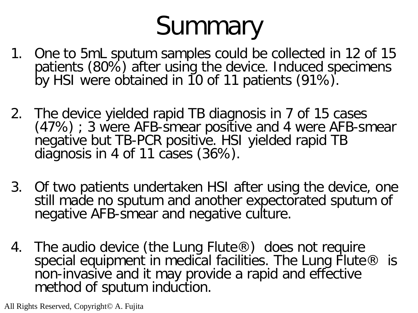# Summary

- 1. One to 5mL sputum samples could be collected in 12 of 15 patients (80%) after using the device. Induced specimens by HSI were obtained in 10 of 11 patients (91%).
- 2. The device yielded rapid TB diagnosis in 7 of 15 cases (47%) ; 3 were AFB-smear positive and 4 were AFB-smear negative but TB-PCR positive. HSI yielded rapid TB diagnosis in 4 of 11 cases (36%).
- 3. Of two patients undertaken HSI after using the device, one still made no sputum and another expectorated sputum of negative AFB-smear and negative culture.
- 4. The audio device (the Lung Flute®) does not require special equipment in medical facilities. The Lung Flute  $\otimes$  is non-invasive and it may provide a rapid and effective method of sputum induction.